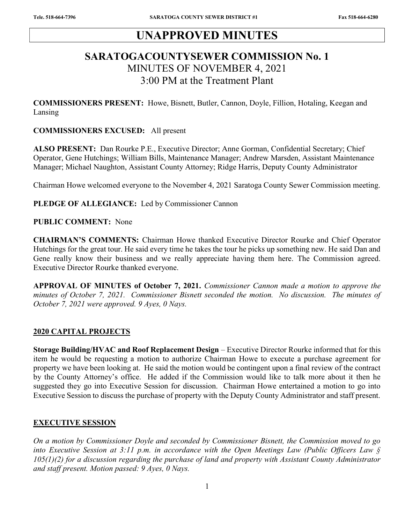# UNAPPROVED MINUTES

# SARATOGACOUNTYSEWER COMMISSION No. 1 MINUTES OF NOVEMBER 4, 2021 3:00 PM at the Treatment Plant

COMMISSIONERS PRESENT: Howe, Bisnett, Butler, Cannon, Doyle, Fillion, Hotaling, Keegan and Lansing

#### COMMISSIONERS EXCUSED: All present

ALSO PRESENT: Dan Rourke P.E., Executive Director; Anne Gorman, Confidential Secretary; Chief Operator, Gene Hutchings; William Bills, Maintenance Manager; Andrew Marsden, Assistant Maintenance Manager; Michael Naughton, Assistant County Attorney; Ridge Harris, Deputy County Administrator

Chairman Howe welcomed everyone to the November 4, 2021 Saratoga County Sewer Commission meeting.

PLEDGE OF ALLEGIANCE: Led by Commissioner Cannon

#### PUBLIC COMMENT: None

CHAIRMAN'S COMMENTS: Chairman Howe thanked Executive Director Rourke and Chief Operator Hutchings for the great tour. He said every time he takes the tour he picks up something new. He said Dan and Gene really know their business and we really appreciate having them here. The Commission agreed. Executive Director Rourke thanked everyone.

APPROVAL OF MINUTES of October 7, 2021. Commissioner Cannon made a motion to approve the minutes of October 7, 2021. Commissioner Bisnett seconded the motion. No discussion. The minutes of October 7, 2021 were approved. 9 Ayes, 0 Nays.

#### 2020 CAPITAL PROJECTS

Storage Building/HVAC and Roof Replacement Design – Executive Director Rourke informed that for this item he would be requesting a motion to authorize Chairman Howe to execute a purchase agreement for property we have been looking at. He said the motion would be contingent upon a final review of the contract by the County Attorney's office. He added if the Commission would like to talk more about it then he suggested they go into Executive Session for discussion. Chairman Howe entertained a motion to go into Executive Session to discuss the purchase of property with the Deputy County Administrator and staff present.

#### EXECUTIVE SESSION

On a motion by Commissioner Doyle and seconded by Commissioner Bisnett, the Commission moved to go into Executive Session at 3:11 p.m. in accordance with the Open Meetings Law (Public Officers Law §  $105(1)(2)$  for a discussion regarding the purchase of land and property with Assistant County Administrator and staff present. Motion passed: 9 Ayes, 0 Nays.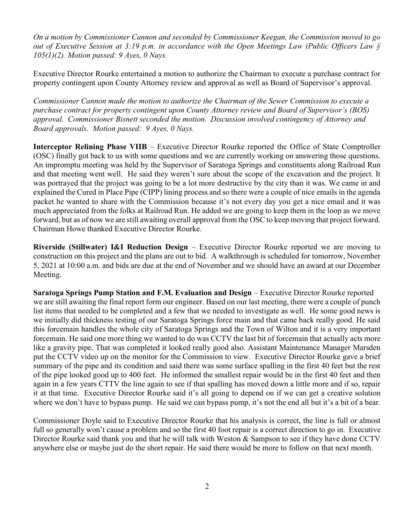On a motion by Commissioner Cannon and seconded by Commissioner Keegan, the Commission moved to go out of Executive Session at 3:19 p.m. in accordance with the Open Meetings Law (Public Officers Law §  $105(1)(2)$ . Motion passed: 9 Ayes, 0 Nays.

Executive Director Rourke entertained a motion to authorize the Chairman to execute a purchase contract for property contingent upon County Attorney review and approval as well as Board of Supervisor's approval.

Commissioner Cannon made the motion to authorize the Chairman of the Sewer Commission to execute a purchase contract for property contingent upon County Attorney review and Board of Supervisor's (BOS) approval. Commissioner Bisnett seconded the motion. Discussion involved contingency of Attorney and Board approvals. Motion passed: 9 Ayes, 0 Nays.

Interceptor Relining Phase VIIB – Executive Director Rourke reported the Office of State Comptroller (OSC) finally got back to us with some questions and we are currently working on answering those questions. An impromptu meeting was held by the Supervisor of Saratoga Springs and constituents along Railroad Run and that meeting went well. He said they weren't sure about the scope of the excavation and the project. It was portrayed that the project was going to be a lot more destructive by the city than it was. We came in and explained the Cured in Place Pipe (CIPP) lining process and so there were a couple of nice emails in the agenda packet he wanted to share with the Commission because it's not every day you get a nice email and it was much appreciated from the folks at Railroad Run. He added we are going to keep them in the loop as we move forward, but as of now we are still awaiting overall approval from the OSC to keep moving that project forward. Chairman Howe thanked Executive Director Rourke.

Riverside (Stillwater) I&I Reduction Design – Executive Director Rourke reported we are moving to construction on this project and the plans are out to bid. A walkthrough is scheduled for tomorrow, November 5, 2021 at 10:00 a.m. and bids are due at the end of November and we should have an award at our December Meeting.

Saratoga Springs Pump Station and F.M. Evaluation and Design – Executive Director Rourke reported we are still awaiting the final report form our engineer. Based on our last meeting, there were a couple of punch list items that needed to be completed and a few that we needed to investigate as well. He some good news is we initially did thickness testing of our Saratoga Springs force main and that came back really good. He said this forcemain handles the whole city of Saratoga Springs and the Town of Wilton and it is a very important forcemain. He said one more thing we wanted to do was CCTV the last bit of forcemain that actually acts more like a gravity pipe. That was completed it looked really good also. Assistant Maintenance Manager Marsden put the CCTV video up on the monitor for the Commission to view. Executive Director Rourke gave a brief summary of the pipe and its condition and said there was some surface spalling in the first 40 feet but the rest of the pipe looked good up to 400 feet. He informed the smallest repair would be in the first 40 feet and then again in a few years CTTV the line again to see if that spalling has moved down a little more and if so, repair it at that time. Executive Director Rourke said it's all going to depend on if we can get a creative solution where we don't have to bypass pump. He said we can bypass pump, it's not the end all but it's a bit of a bear.

Commissioner Doyle said to Executive Director Rourke that his analysis is correct, the line is full or almost full so generally won't cause a problem and so the first 40 foot repair is a correct direction to go in. Executive Director Rourke said thank you and that he will talk with Weston & Sampson to see if they have done CCTV anywhere else or maybe just do the short repair. He said there would be more to follow on that next month.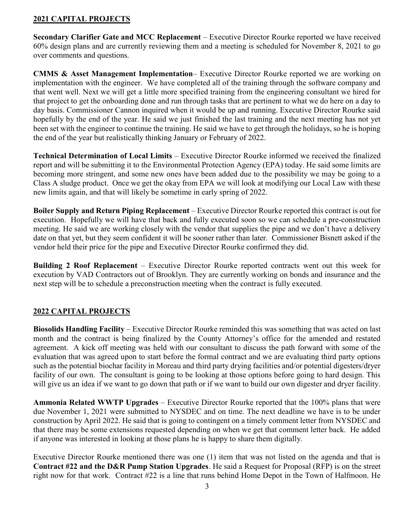## 2021 CAPITAL PROJECTS

Secondary Clarifier Gate and MCC Replacement – Executive Director Rourke reported we have received 60% design plans and are currently reviewing them and a meeting is scheduled for November 8, 2021 to go over comments and questions.

CMMS & Asset Management Implementation– Executive Director Rourke reported we are working on implementation with the engineer. We have completed all of the training through the software company and that went well. Next we will get a little more specified training from the engineering consultant we hired for that project to get the onboarding done and run through tasks that are pertinent to what we do here on a day to day basis. Commissioner Cannon inquired when it would be up and running. Executive Director Rourke said hopefully by the end of the year. He said we just finished the last training and the next meeting has not yet been set with the engineer to continue the training. He said we have to get through the holidays, so he is hoping the end of the year but realistically thinking January or February of 2022.

Technical Determination of Local Limits – Executive Director Rourke informed we received the finalized report and will be submitting it to the Environmental Protection Agency (EPA) today. He said some limits are becoming more stringent, and some new ones have been added due to the possibility we may be going to a Class A sludge product. Once we get the okay from EPA we will look at modifying our Local Law with these new limits again, and that will likely be sometime in early spring of 2022.

Boiler Supply and Return Piping Replacement – Executive Director Rourke reported this contract is out for execution. Hopefully we will have that back and fully executed soon so we can schedule a pre-construction meeting. He said we are working closely with the vendor that supplies the pipe and we don't have a delivery date on that yet, but they seem confident it will be sooner rather than later. Commissioner Bisnett asked if the vendor held their price for the pipe and Executive Director Rourke confirmed they did.

Building 2 Roof Replacement – Executive Director Rourke reported contracts went out this week for execution by VAD Contractors out of Brooklyn. They are currently working on bonds and insurance and the next step will be to schedule a preconstruction meeting when the contract is fully executed.

## 2022 CAPITAL PROJECTS

Biosolids Handling Facility – Executive Director Rourke reminded this was something that was acted on last month and the contract is being finalized by the County Attorney's office for the amended and restated agreement. A kick off meeting was held with our consultant to discuss the path forward with some of the evaluation that was agreed upon to start before the formal contract and we are evaluating third party options such as the potential biochar facility in Moreau and third party drying facilities and/or potential digesters/dryer facility of our own. The consultant is going to be looking at those options before going to hard design. This will give us an idea if we want to go down that path or if we want to build our own digester and dryer facility.

Ammonia Related WWTP Upgrades – Executive Director Rourke reported that the 100% plans that were due November 1, 2021 were submitted to NYSDEC and on time. The next deadline we have is to be under construction by April 2022. He said that is going to contingent on a timely comment letter from NYSDEC and that there may be some extensions requested depending on when we get that comment letter back. He added if anyone was interested in looking at those plans he is happy to share them digitally.

Executive Director Rourke mentioned there was one (1) item that was not listed on the agenda and that is Contract #22 and the D&R Pump Station Upgrades. He said a Request for Proposal (RFP) is on the street right now for that work. Contract #22 is a line that runs behind Home Depot in the Town of Halfmoon. He